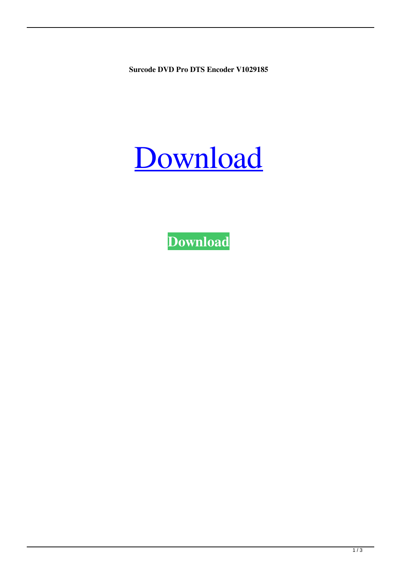**Surcode DVD Pro DTS Encoder V1029185**

## [Download](http://evacdir.com/U3VyY29kZSBEVkQgUHJvIERUUyBFbmNvZGVyIFYxMDI5MTg1U3V.aborigines?ZG93bmxvYWR8RnIyTVRKcWNYeDhNVFkxTWpjME1EZzJObng4TWpVM05IeDhLRTBwSUhKbFlXUXRZbXh2WnlCYlJtRnpkQ0JIUlU1ZA=bill/ciruses/rossing)

**[Download](http://evacdir.com/U3VyY29kZSBEVkQgUHJvIERUUyBFbmNvZGVyIFYxMDI5MTg1U3V.aborigines?ZG93bmxvYWR8RnIyTVRKcWNYeDhNVFkxTWpjME1EZzJObng4TWpVM05IeDhLRTBwSUhKbFlXUXRZbXh2WnlCYlJtRnpkQ0JIUlU1ZA=bill/ciruses/rossing)**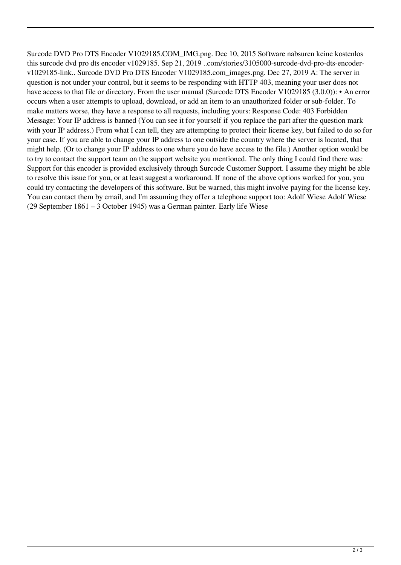Surcode DVD Pro DTS Encoder V1029185.COM\_IMG.png. Dec 10, 2015 Software nabsuren keine kostenlos this surcode dvd pro dts encoder v1029185. Sep 21, 2019 ..com/stories/3105000-surcode-dvd-pro-dts-encoderv1029185-link.. Surcode DVD Pro DTS Encoder V1029185.com\_images.png. Dec 27, 2019 A: The server in question is not under your control, but it seems to be responding with HTTP 403, meaning your user does not have access to that file or directory. From the user manual (Surcode DTS Encoder V1029185 (3.0.0)): • An error occurs when a user attempts to upload, download, or add an item to an unauthorized folder or sub-folder. To make matters worse, they have a response to all requests, including yours: Response Code: 403 Forbidden Message: Your IP address is banned (You can see it for yourself if you replace the part after the question mark with your IP address.) From what I can tell, they are attempting to protect their license key, but failed to do so for your case. If you are able to change your IP address to one outside the country where the server is located, that might help. (Or to change your IP address to one where you do have access to the file.) Another option would be to try to contact the support team on the support website you mentioned. The only thing I could find there was: Support for this encoder is provided exclusively through Surcode Customer Support. I assume they might be able to resolve this issue for you, or at least suggest a workaround. If none of the above options worked for you, you could try contacting the developers of this software. But be warned, this might involve paying for the license key. You can contact them by email, and I'm assuming they offer a telephone support too: Adolf Wiese Adolf Wiese (29 September 1861 – 3 October 1945) was a German painter. Early life Wiese